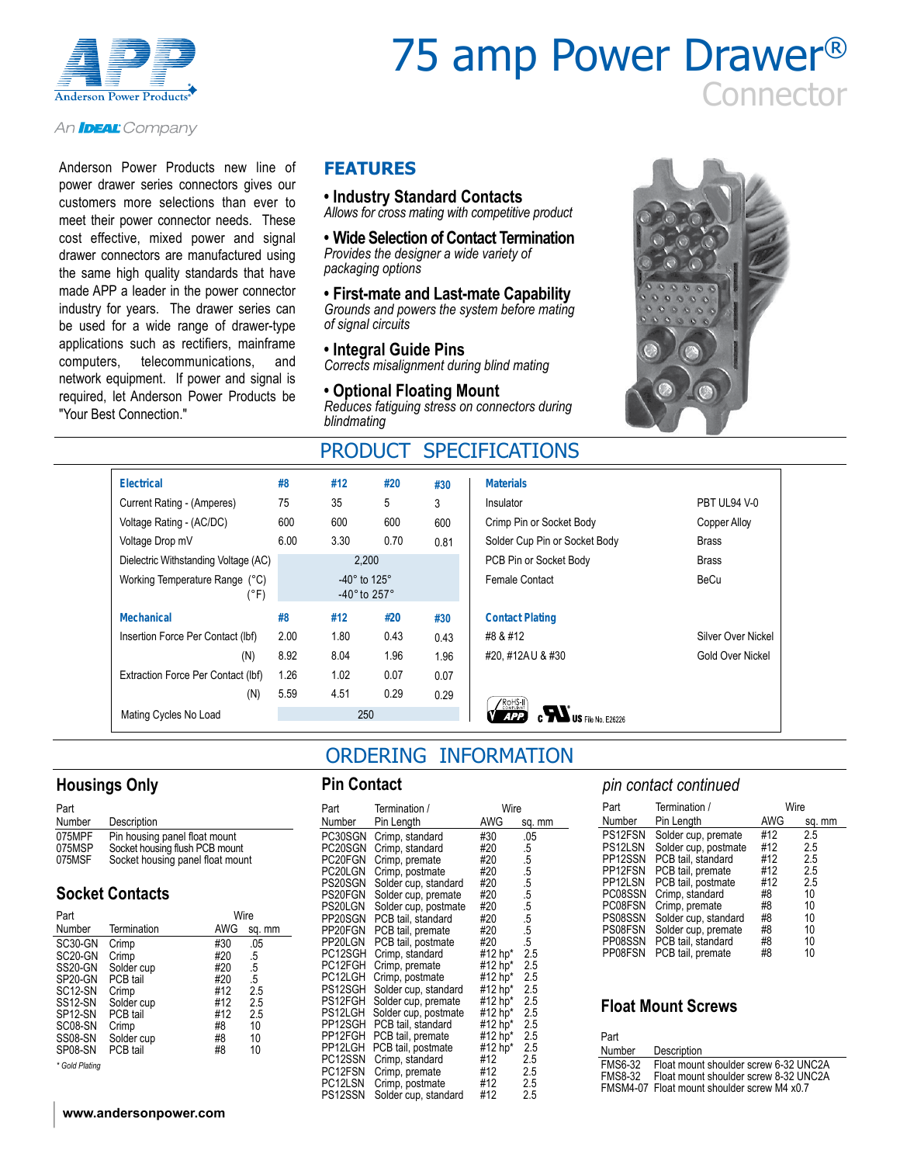

# 75 amp Power Drawer® **connector**

An **IDEAL** Company

Anderson Power Products new line of power drawer series connectors gives our customers more selections than ever to meet their power connector needs. These cost effective, mixed power and signal drawer connectors are manufactured using the same high quality standards that have made APP a leader in the power connector industry for years. The drawer series can be used for a wide range of drawer-type applications such as rectifiers, mainframe computers, telecommunications, and network equipment. If power and signal is required, let Anderson Power Products be "Your Best Connection."

#### **FEATURES**

#### **• Industry Standard Contacts**

*Allows for cross mating with competitive product*

**• Wide Selection of Contact Termination** *Provides the designer a wide variety of packaging options*

**• First-mate and Last-mate Capability** *Grounds and powers the system before mating of signal circuits*

#### **• Integral Guide Pins**

*Corrects misalignment during blind mating*

#### **• Optional Floating Mount**

*Reduces fatiguing stress on connectors during blindmating*

### PRODUCT SPECIFICATIONS



| <b>Electrical</b>          |                                        | #8   | #12                                               | #20  | #30  | <b>Materials</b>              |                    |
|----------------------------|----------------------------------------|------|---------------------------------------------------|------|------|-------------------------------|--------------------|
| Current Rating - (Amperes) |                                        | 75   | 35                                                | 5    | 3    | Insulator                     | PBT UL94 V-0       |
| Voltage Rating - (AC/DC)   |                                        | 600  | 600                                               | 600  | 600  | Crimp Pin or Socket Body      | Copper Alloy       |
| Voltage Drop mV            |                                        | 6.00 | 3.30                                              | 0.70 | 0.81 | Solder Cup Pin or Socket Body | <b>Brass</b>       |
|                            | Dielectric Withstanding Voltage (AC)   |      | 2,200                                             |      |      | PCB Pin or Socket Body        | <b>Brass</b>       |
|                            | Working Temperature Range (°C)<br>(°F) |      | $-40^\circ$ to 125°<br>$-40^\circ$ to $257^\circ$ |      |      | Female Contact                | BeCu               |
| <b>Mechanical</b>          |                                        | #8   | #12                                               | #20  | #30  | <b>Contact Plating</b>        |                    |
|                            | Insertion Force Per Contact (Ibf)      | 2.00 | 1.80                                              | 0.43 | 0.43 | #8 & #12                      | Silver Over Nickel |
|                            | (N)                                    | 8.92 | 8.04                                              | 1.96 | 1.96 | #20, #12AU & #30              | Gold Over Nickel   |
|                            | Extraction Force Per Contact (Ibf)     | 1.26 | 1.02                                              | 0.07 | 0.07 |                               |                    |
|                            | (N)                                    | 5.59 | 4.51                                              | 0.29 | 0.29 | $\sqrt{\text{ROHS-II}}$       |                    |
| Mating Cycles No Load      |                                        |      | 250                                               |      |      | APP<br>$US$ File No. E26226   |                    |

|                   | #8   | #12                                              | #20  | #30  | <b>Materials</b>                     |                    |  |
|-------------------|------|--------------------------------------------------|------|------|--------------------------------------|--------------------|--|
| es)               | 75   | 35                                               | 5    | 3    | Insulator                            | PBT UL94 V-0       |  |
|                   | 600  | 600                                              | 600  | 600  | Crimp Pin or Socket Body             | Copper Alloy       |  |
|                   | 6.00 | 3.30                                             | 0.70 | 0.81 | Solder Cup Pin or Socket Body        | <b>Brass</b>       |  |
| oltage (AC)       |      | 2,200                                            |      |      | PCB Pin or Socket Body               | <b>Brass</b>       |  |
| inge (°C)<br>(°F) |      | -40° to 125°<br>-40 $^{\circ}$ to 257 $^{\circ}$ |      |      | Female Contact                       | BeCu               |  |
|                   | #8   | #12                                              | #20  | #30  | <b>Contact Plating</b>               |                    |  |
| act (Ibf)         | 2.00 | 1.80                                             | 0.43 | 0.43 | #8 & #12                             | Silver Over Nickel |  |
| (N)               | 8.92 | 8.04                                             | 1.96 | 1.96 | #20, #12AU & #30                     | Gold Over Nickel   |  |
| ntact (lbf)       | 1.26 | 1.02                                             | 0.07 | 0.07 |                                      |                    |  |
| (N)               | 5.59 | 4.51                                             | 0.29 | 0.29 |                                      |                    |  |
|                   |      | 250                                              |      |      | <b>ROHS-II</b><br>US File No. E26226 |                    |  |
|                   |      |                                                  |      |      |                                      |                    |  |

### ORDERING INFORMATION

#### **Housings Only**

| Part                       |                                                                                                     |
|----------------------------|-----------------------------------------------------------------------------------------------------|
| Number                     | Description                                                                                         |
| 075MPF<br>075MSP<br>075MSF | Pin housing panel float mount<br>Socket housing flush PCB mount<br>Socket housing panel float mount |

#### **Socket Contacts**

| Part                 |             | Wire |        |  |  |  |
|----------------------|-------------|------|--------|--|--|--|
| Number               | Termination | AWG  | sq. mm |  |  |  |
| SC30-GN              | Crimp       | #30  | .05    |  |  |  |
| SC <sub>20</sub> -GN | Crimp       | #20  | .5     |  |  |  |
| SS20-GN              | Solder cup  | #20  | .5     |  |  |  |
| SP20-GN              | PCB tail    | #20  | .5     |  |  |  |
| SC <sub>12</sub> -SN | Crimp       | #12  | 2.5    |  |  |  |
| SS <sub>12</sub> -SN | Solder cup  | #12  | 2.5    |  |  |  |
| SP <sub>12</sub> -SN | PCB tail    | #12  | 2.5    |  |  |  |
| SC08-SN              | Crimp       | #8   | 10     |  |  |  |
| <b>SS08-SN</b>       | Solder cup  | #8   | 10     |  |  |  |
| SP08-SN              | PCB tail    | #8   | 10     |  |  |  |

*\* Gold Plating*

#### **www.andersonpower.com**

#### **Pin Contact**

| Part    | Termination /        | Wire    |        |
|---------|----------------------|---------|--------|
| Number  | Pin Length           | AWG     | sq. mm |
| PC30SGN | Crimp, standard      | #30     | .05    |
| PC20SGN | Crimp, standard      | #20     | .5     |
| PC20FGN | Crimp, premate       | #20     | .5     |
| PC20LGN | Crimp, postmate      | #20     | .5     |
| PS20SGN | Solder cup, standard | #20     | .5     |
| PS20FGN | Solder cup, premate  | #20     | .5     |
| PS20LGN | Solder cup, postmate | #20     | .5     |
| PP20SGN | PCB tail, standard   | #20     | .5     |
| PP20FGN | PCB tail, premate    | #20     | .5     |
| PP20LGN | PCB tail, postmate   | #20     | .5     |
| PC12SGH | Crimp, standard      | #12 hp* | 2.5    |
| PC12FGH | Crimp, premate       | #12 hp* | 2.5    |
| PC12LGH | Crimp, postmate      | #12 hp* | 2.5    |
| PS12SGH | Solder cup, standard | #12 hp* | 2.5    |
| PS12FGH | Solder cup, premate  | #12 hp* | 2.5    |
| PS12LGH | Solder cup, postmate | #12 hp* | 2.5    |
| PP12SGH | PCB tail, standard   | #12 hp* | 2.5    |
| PP12FGH | PCB tail, premate    | #12 hp* | 2.5    |
| PP12LGH | PCB tail, postmate   | #12 hp* | 2.5    |
| PC12SSN | Crimp, standard      | #12     | 2.5    |
| PC12FSN | Crimp, premate       | #12     | 2.5    |
| PC12LSN | Crimp, postmate      | #12     | 2.5    |
| PS12SSN | Solder cup, standard | #12     | 2.5    |

#### *pin contact continued*

| Part    | Termination /        |     | Wire   |
|---------|----------------------|-----|--------|
| Number  | Pin Length           | AWG | sq. mm |
| PS12FSN | Solder cup, premate  | #12 | 2.5    |
| PS12LSN | Solder cup, postmate | #12 | 2.5    |
| PP12SSN | PCB tail, standard   | #12 | 2.5    |
| PP12FSN | PCB tail, premate    | #12 | 2.5    |
| PP12LSN | PCB tail, postmate   | #12 | 2.5    |
| PC08SSN | Crimp, standard      | #8  | 10     |
| PC08FSN | Crimp, premate       | #8  | 10     |
| PS08SSN | Solder cup, standard | #8  | 10     |
| PS08FSN | Solder cup, premate  | #8  | 10     |
| PP08SSN | PCB tail, standard   | #8  | 10     |
| PP08FSN | PCB tail, premate    | #8  | 10     |

#### **Float Mount Screws**

| Part    |                                             |
|---------|---------------------------------------------|
| Number  | Description                                 |
| FMS6-32 | Float mount shoulder screw 6-32 UNC2A       |
| FMS8-32 | Float mount shoulder screw 8-32 UNC2A       |
|         | FMSM4-07 Float mount shoulder screw M4 x0.7 |